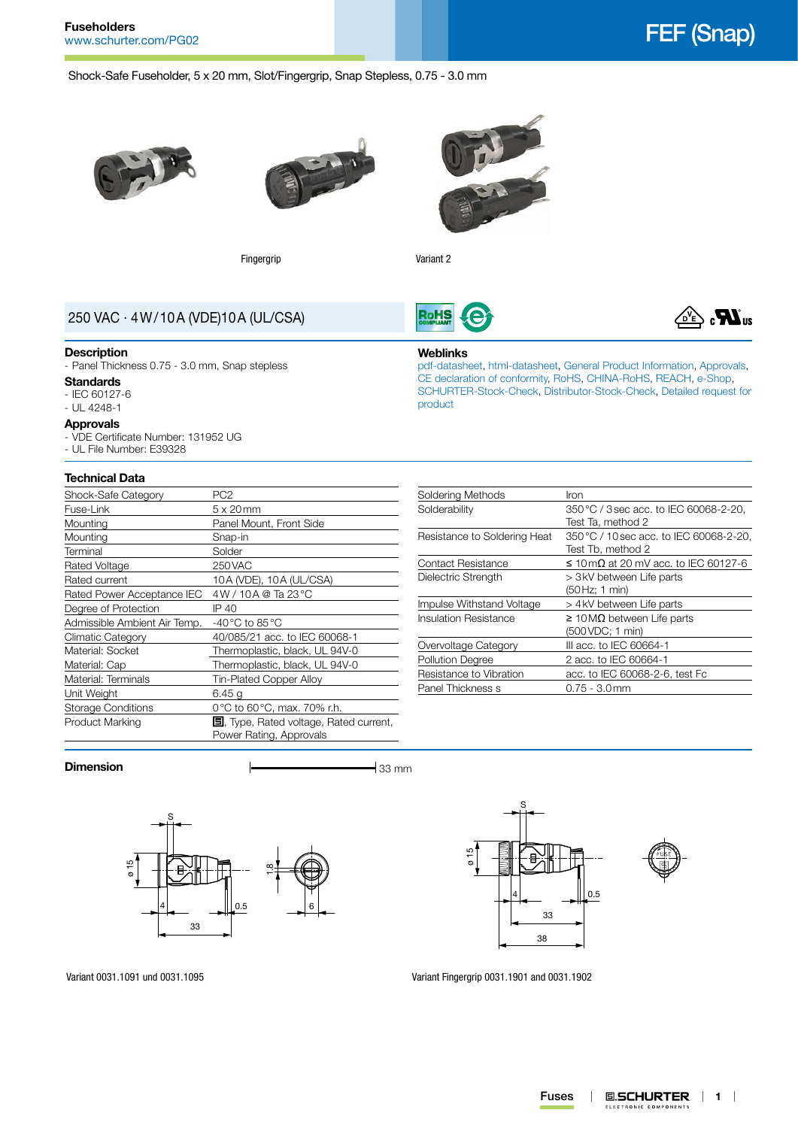



Shock-Safe Fuseholder, 5 x 20 mm, Slot/Fingergrip, Snap Stepless, 0.75 - 3.0 mm





Fingergrip **Variant 2** 



**RoHS** 

# 250 VAC · 4W/10A (VDE)10A (UL/CSA)

#### **Description**

- Panel Thickness 0.75 - 3.0 mm, Snap stepless

# **Standards**

- IEC 60127-6
- UL 4248-1

#### **Approvals**

- VDE Certificate Number: 131952 UG
- UL File Number: E39328

# **Technical Data**

| Shock-Safe Category          | PC <sub>2</sub>                                                           |  |  |
|------------------------------|---------------------------------------------------------------------------|--|--|
| Fuse-Link                    | $5 \times 20$ mm                                                          |  |  |
| Mounting                     | Panel Mount, Front Side                                                   |  |  |
| Mounting                     | Snap-in                                                                   |  |  |
| Terminal                     | Solder                                                                    |  |  |
| Rated Voltage                | 250 VAC                                                                   |  |  |
| Rated current                | 10A (VDE), 10A (UL/CSA)                                                   |  |  |
| Rated Power Acceptance IEC   | 4W / 10A @ Ta 23 °C                                                       |  |  |
| Degree of Protection         | IP 40                                                                     |  |  |
| Admissible Ambient Air Temp. | -40 °C to 85 °C                                                           |  |  |
| Climatic Category            | 40/085/21 acc. to IEC 60068-1                                             |  |  |
| Material: Socket             | Thermoplastic, black, UL 94V-0                                            |  |  |
| Material: Cap                | Thermoplastic, black, UL 94V-0                                            |  |  |
| Material: Terminals          | Tin-Plated Copper Alloy                                                   |  |  |
| Unit Weight                  | 6.45 g                                                                    |  |  |
| <b>Storage Conditions</b>    | 0°C to 60°C, max. 70% r.h.                                                |  |  |
| Product Marking              | <b>国</b> , Type, Rated voltage, Rated current,<br>Power Rating, Approvals |  |  |
|                              |                                                                           |  |  |

| Soldering Methods            | Iron                                      |  |
|------------------------------|-------------------------------------------|--|
| Solderability                | 350 °C / 3 sec acc. to IEC 60068-2-20,    |  |
|                              | Test Ta, method 2                         |  |
| Resistance to Soldering Heat | 350 °C / 10 sec acc. to IEC 60068-2-20.   |  |
|                              | Test Tb, method 2                         |  |
| <b>Contact Resistance</b>    | $\leq$ 10 mQ at 20 mV acc. to IEC 60127-6 |  |
| Dielectric Strength          | > 3 kV between Life parts                 |  |
|                              | (50 Hz; 1 min)                            |  |
| Impulse Withstand Voltage    | > 4 kV between Life parts                 |  |
| Insulation Resistance        | $\geq$ 10 MΩ between Life parts           |  |
|                              | (500 VDC; 1 min)                          |  |
| Overvoltage Category         | III acc. to IEC 60664-1                   |  |
| <b>Pollution Degree</b>      | 2 acc. to IEC 60664-1                     |  |
| Resistance to Vibration      | acc. to IEC 60068-2-6, test Fc            |  |
| Panel Thickness s            | $0.75 - 3.0$ mm                           |  |

#### **Dimension**  $\qquad \qquad$  33 mm







Variant 0031.1091 und 0031.1095

Variant Fingergrip 0031.1901 and 0031.1902



#### **Weblinks**

[pdf-datasheet](http://www.schurter.ch/pdf/english/typ_FEF__Snap_.pdf), [html-datasheet](http://www.schurter.ch/en/datasheet/FEF%20(Snap)), [General Product Information,](http://www.schurter.ch/products/fuses_general_info.asp) [Approvals](http://www.schurter.ch/en/Documents-References/Approvals/(id)/FEF), [CE declaration of conformity,](http://www.schurter.com/en/Documents-References/Approvals/(id)/FEF+AND+FIELD+CertificationInstitute=SAG) [RoHS](http://www.schurter.ch/company/rohs.asp), [CHINA-RoHS](http://www.schurter.ch/company/china_rohs.asp), [REACH,](http://www.schurter.ch/company/reach.asp) [e-Shop,](http://www.schurter.ch/en/datasheet/FEF%20(Snap)#Anker_Variants) [SCHURTER-Stock-Check,](http://www.schurter.ch/en/Stock-Check/Stock-Check-SCHURTER?MAKTX=FEF&COM_QTY=1&AUTOSEARCH=true) [Distributor-Stock-Check](http://www.schurter.com/en/Stock-Check/Stock-Check-Distributor?partnumber1=FEF), [Detailed request for](http://www.schurter.com/en/Contacts/Contact-Form?type=FEF__Snap_)  [product](http://www.schurter.com/en/Contacts/Contact-Form?type=FEF__Snap_)